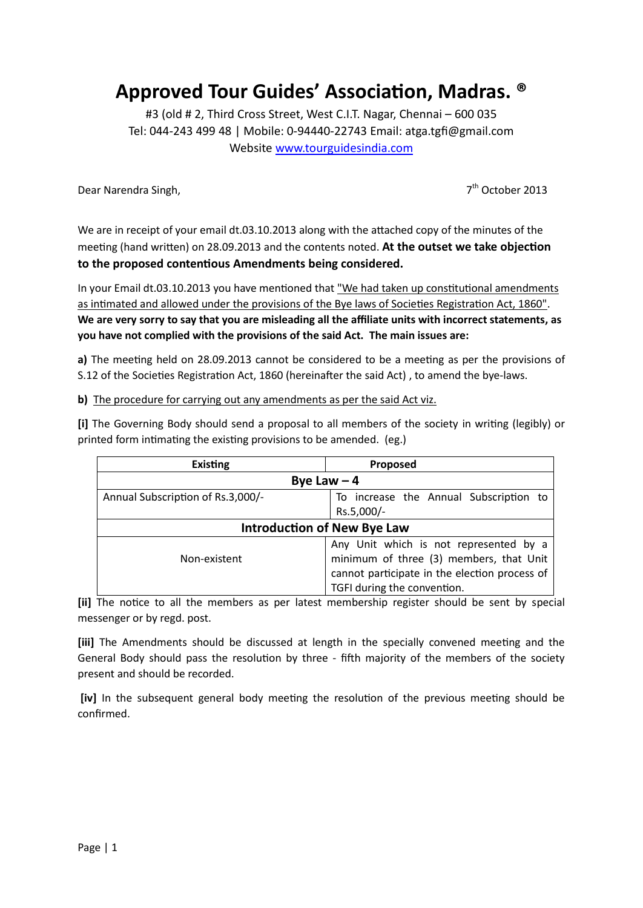## **Approved Tour Guides' Association, Madras. ®**

#3 (old # 2, Third Cross Street, West C.I.T. Nagar, Chennai – 600 035 Tel: 044-243 499 48 | Mobile: 0-94440-22743 Email: atga.tgfi@gmail.com Website [www.tourguidesindia.com](http://www.tourguidesindia.com/)

Dear Narendra Singh, 7

 $7<sup>th</sup>$  October 2013

We are in receipt of your email dt.03.10.2013 along with the attached copy of the minutes of the meeting (hand written) on 28.09.2013 and the contents noted. **At the outset we take objection to the proposed contentious Amendments being considered.** 

In your Email dt.03.10.2013 you have mentioned that "We had taken up constitutional amendments as intimated and allowed under the provisions of the Bye laws of Societies Registration Act, 1860". **We are very sorry to say that you are misleading all the affiliate units with incorrect statements, as you have not complied with the provisions of the said Act. The main issues are:**

**a)** The meeting held on 28.09.2013 cannot be considered to be a meeting as per the provisions of S.12 of the Societies Registration Act, 1860 (hereinafter the said Act) , to amend the bye-laws.

**b)** The procedure for carrying out any amendments as per the said Act viz.

**[i]** The Governing Body should send a proposal to all members of the society in writing (legibly) or printed form intimating the existing provisions to be amended. (eg.)

| <b>Existing</b>                    | Proposed                                                                                                                                                          |
|------------------------------------|-------------------------------------------------------------------------------------------------------------------------------------------------------------------|
| Bye Law $-4$                       |                                                                                                                                                                   |
| Annual Subscription of Rs.3,000/-  | To increase the Annual Subscription to<br>Rs.5,000/-                                                                                                              |
| <b>Introduction of New Bye Law</b> |                                                                                                                                                                   |
| Non-existent                       | Any Unit which is not represented by a<br>minimum of three (3) members, that Unit<br>cannot participate in the election process of<br>TGFI during the convention. |

**[ii]** The notice to all the members as per latest membership register should be sent by special messenger or by regd. post.

**[iii]** The Amendments should be discussed at length in the specially convened meeting and the General Body should pass the resolution by three - fifth majority of the members of the society present and should be recorded.

**[iv]** In the subsequent general body meeting the resolution of the previous meeting should be confirmed.